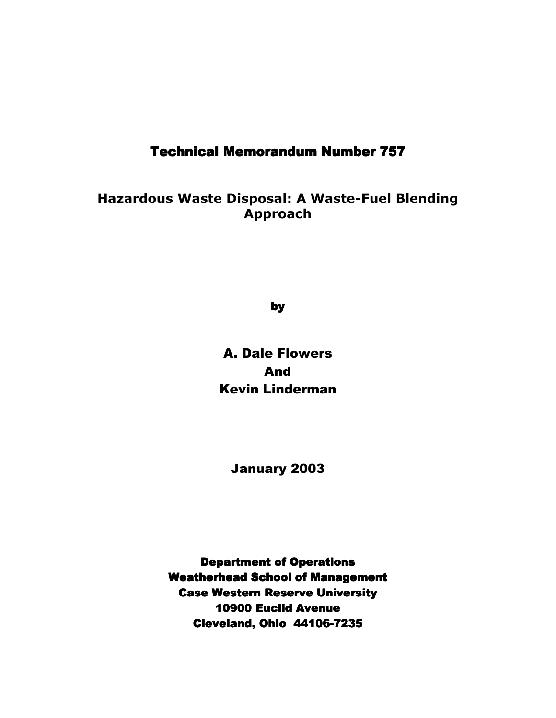# **Technical Memorandum Number 757**

**Hazardous Waste Disposal: A Waste-Fuel Blending Approach**

by

A. Dale Flowers And Kevin Linderman

January 2003

**Department of Operations Weatherhead School of Management Case Western Reserve University** 10900 Euclid Avenue Cleveland, Ohio 44106-7235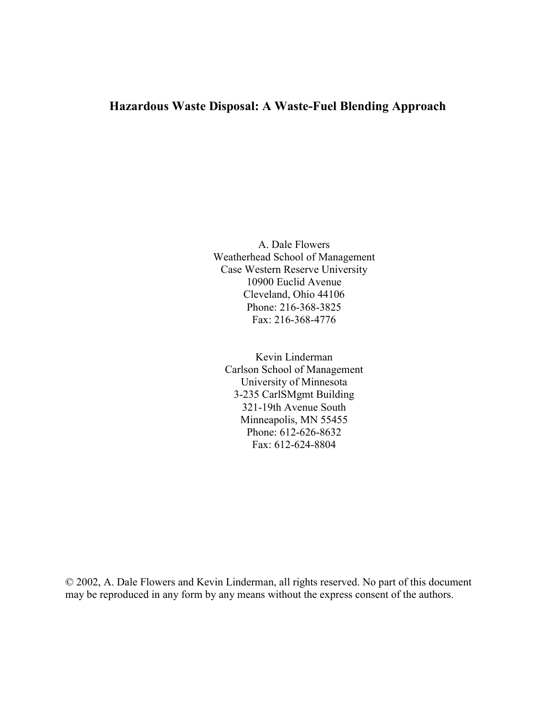# **Hazardous Waste Disposal: A Waste-Fuel Blending Approach**

A. Dale Flowers Weatherhead School of Management Case Western Reserve University 10900 Euclid Avenue Cleveland, Ohio 44106 Phone: 216-368-3825 Fax: 216-368-4776

Kevin Linderman Carlson School of Management University of Minnesota 3-235 CarlSMgmt Building 321-19th Avenue South Minneapolis, MN 55455 Phone: 612-626-8632 Fax: 612-624-8804

© 2002, A. Dale Flowers and Kevin Linderman, all rights reserved. No part of this document may be reproduced in any form by any means without the express consent of the authors.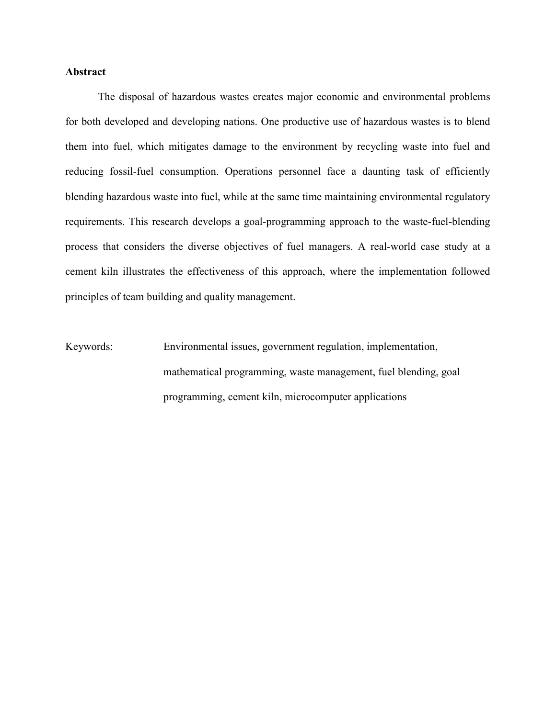# **Abstract**

 The disposal of hazardous wastes creates major economic and environmental problems for both developed and developing nations. One productive use of hazardous wastes is to blend them into fuel, which mitigates damage to the environment by recycling waste into fuel and reducing fossil-fuel consumption. Operations personnel face a daunting task of efficiently blending hazardous waste into fuel, while at the same time maintaining environmental regulatory requirements. This research develops a goal-programming approach to the waste-fuel-blending process that considers the diverse objectives of fuel managers. A real-world case study at a cement kiln illustrates the effectiveness of this approach, where the implementation followed principles of team building and quality management.

Keywords: Environmental issues, government regulation, implementation, mathematical programming, waste management, fuel blending, goal programming, cement kiln, microcomputer applications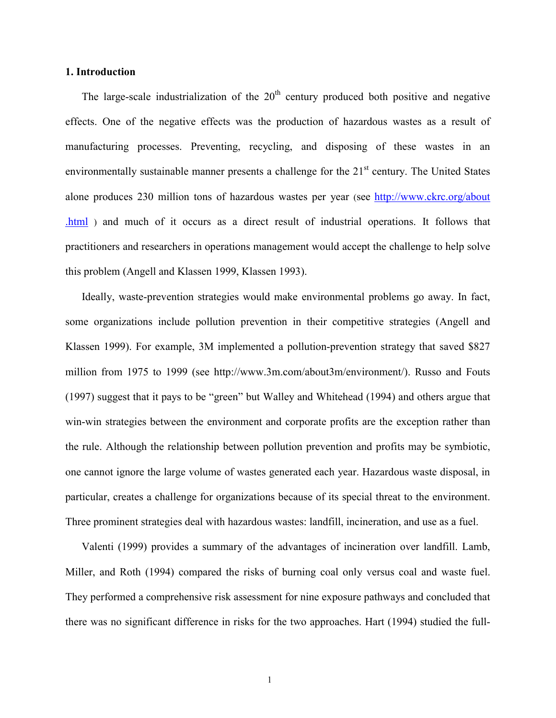## **1. Introduction**

The large-scale industrialization of the  $20<sup>th</sup>$  century produced both positive and negative effects. One of the negative effects was the production of hazardous wastes as a result of manufacturing processes. Preventing, recycling, and disposing of these wastes in an environmentally sustainable manner presents a challenge for the  $21<sup>st</sup>$  century. The United States alone produces 230 million tons of hazardous wastes per year (see http://www.ckrc.org/about .html ) and much of it occurs as a direct result of industrial operations. It follows that practitioners and researchers in operations management would accept the challenge to help solve this problem (Angell and Klassen 1999, Klassen 1993).

Ideally, waste-prevention strategies would make environmental problems go away. In fact, some organizations include pollution prevention in their competitive strategies (Angell and Klassen 1999). For example, 3M implemented a pollution-prevention strategy that saved \$827 million from 1975 to 1999 (see http://www.3m.com/about3m/environment/). Russo and Fouts  $(1997)$  suggest that it pays to be "green" but Walley and Whitehead  $(1994)$  and others argue that win-win strategies between the environment and corporate profits are the exception rather than the rule. Although the relationship between pollution prevention and profits may be symbiotic, one cannot ignore the large volume of wastes generated each year. Hazardous waste disposal, in particular, creates a challenge for organizations because of its special threat to the environment. Three prominent strategies deal with hazardous wastes: landfill, incineration, and use as a fuel.

Valenti (1999) provides a summary of the advantages of incineration over landfill. Lamb, Miller, and Roth (1994) compared the risks of burning coal only versus coal and waste fuel. They performed a comprehensive risk assessment for nine exposure pathways and concluded that there was no significant difference in risks for the two approaches. Hart (1994) studied the full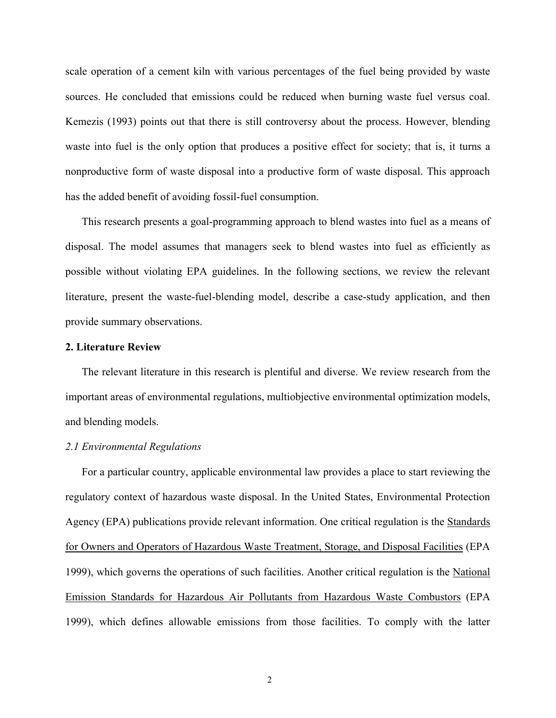scale operation of a cement kiln with various percentages of the fuel being provided by waste sources. He concluded that emissions could be reduced when burning waste fuel versus coal. Kemezis (1993) points out that there is still controversy about the process. However, blending waste into fuel is the only option that produces a positive effect for society; that is, it turns a nonproductive form of waste disposal into a productive form of waste disposal. This approach has the added benefit of avoiding fossil-fuel consumption.

This research presents a goal-programming approach to blend wastes into fuel as a means of disposal. The model assumes that managers seek to blend wastes into fuel as efficiently as possible without violating EPA guidelines. In the following sections, we review the relevant literature, present the waste-fuel-blending model, describe a case-study application, and then provide summary observations.

## **2. Literature Review**

The relevant literature in this research is plentiful and diverse. We review research from the important areas of environmental regulations, multiobjective environmental optimization models, and blending models.

## *2.1 Environmental Regulations*

For a particular country, applicable environmental law provides a place to start reviewing the regulatory context of hazardous waste disposal. In the United States, Environmental Protection Agency (EPA) publications provide relevant information. One critical regulation is the Standards for Owners and Operators of Hazardous Waste Treatment, Storage, and Disposal Facilities (EPA 1999), which governs the operations of such facilities. Another critical regulation is the National Emission Standards for Hazardous Air Pollutants from Hazardous Waste Combustors (EPA 1999), which defines allowable emissions from those facilities. To comply with the latter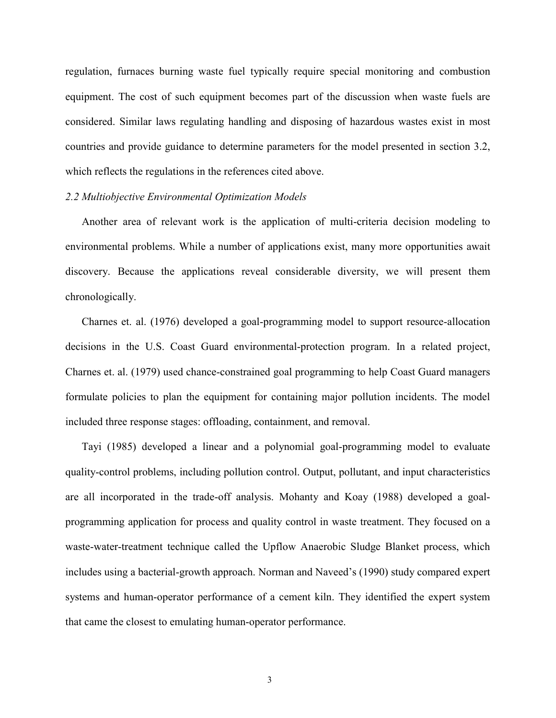regulation, furnaces burning waste fuel typically require special monitoring and combustion equipment. The cost of such equipment becomes part of the discussion when waste fuels are considered. Similar laws regulating handling and disposing of hazardous wastes exist in most countries and provide guidance to determine parameters for the model presented in section 3.2, which reflects the regulations in the references cited above.

#### *2.2 Multiobjective Environmental Optimization Models*

Another area of relevant work is the application of multi-criteria decision modeling to environmental problems. While a number of applications exist, many more opportunities await discovery. Because the applications reveal considerable diversity, we will present them chronologically.

Charnes et. al. (1976) developed a goal-programming model to support resource-allocation decisions in the U.S. Coast Guard environmental-protection program. In a related project, Charnes et. al. (1979) used chance-constrained goal programming to help Coast Guard managers formulate policies to plan the equipment for containing major pollution incidents. The model included three response stages: offloading, containment, and removal.

Tayi (1985) developed a linear and a polynomial goal-programming model to evaluate quality-control problems, including pollution control. Output, pollutant, and input characteristics are all incorporated in the trade-off analysis. Mohanty and Koay (1988) developed a goalprogramming application for process and quality control in waste treatment. They focused on a waste-water-treatment technique called the Upflow Anaerobic Sludge Blanket process, which includes using a bacterial-growth approach. Norman and Naveed's (1990) study compared expert systems and human-operator performance of a cement kiln. They identified the expert system that came the closest to emulating human-operator performance.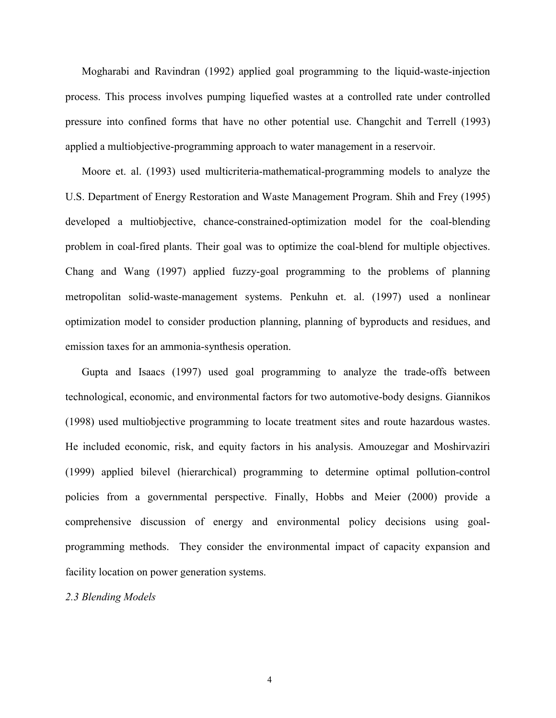Mogharabi and Ravindran (1992) applied goal programming to the liquid-waste-injection process. This process involves pumping liquefied wastes at a controlled rate under controlled pressure into confined forms that have no other potential use. Changchit and Terrell (1993) applied a multiobjective-programming approach to water management in a reservoir.

Moore et. al. (1993) used multicriteria-mathematical-programming models to analyze the U.S. Department of Energy Restoration and Waste Management Program. Shih and Frey (1995) developed a multiobjective, chance-constrained-optimization model for the coal-blending problem in coal-fired plants. Their goal was to optimize the coal-blend for multiple objectives. Chang and Wang (1997) applied fuzzy-goal programming to the problems of planning metropolitan solid-waste-management systems. Penkuhn et. al. (1997) used a nonlinear optimization model to consider production planning, planning of byproducts and residues, and emission taxes for an ammonia-synthesis operation.

Gupta and Isaacs (1997) used goal programming to analyze the trade-offs between technological, economic, and environmental factors for two automotive-body designs. Giannikos (1998) used multiobjective programming to locate treatment sites and route hazardous wastes. He included economic, risk, and equity factors in his analysis. Amouzegar and Moshirvaziri (1999) applied bilevel (hierarchical) programming to determine optimal pollution-control policies from a governmental perspective. Finally, Hobbs and Meier (2000) provide a comprehensive discussion of energy and environmental policy decisions using goalprogramming methods. They consider the environmental impact of capacity expansion and facility location on power generation systems.

*2.3 Blending Models* 

4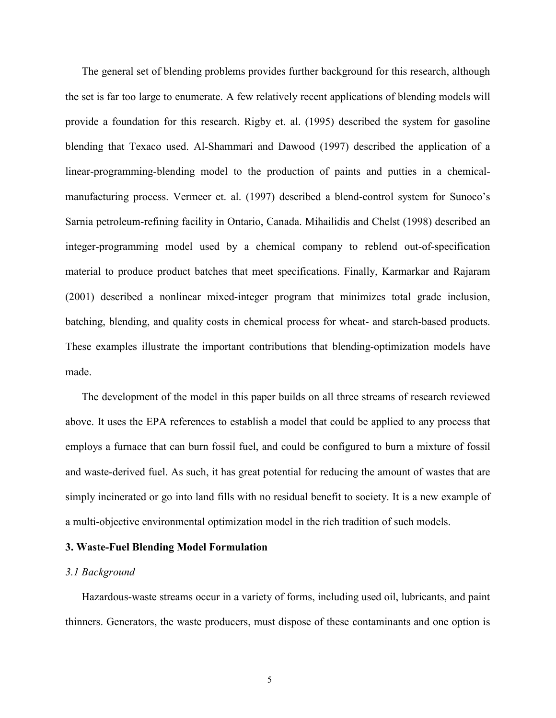The general set of blending problems provides further background for this research, although the set is far too large to enumerate. A few relatively recent applications of blending models will provide a foundation for this research. Rigby et. al. (1995) described the system for gasoline blending that Texaco used. Al-Shammari and Dawood (1997) described the application of a linear-programming-blending model to the production of paints and putties in a chemicalmanufacturing process. Vermeer et. al. (1997) described a blend-control system for Sunoco's Sarnia petroleum-refining facility in Ontario, Canada. Mihailidis and Chelst (1998) described an integer-programming model used by a chemical company to reblend out-of-specification material to produce product batches that meet specifications. Finally, Karmarkar and Rajaram (2001) described a nonlinear mixed-integer program that minimizes total grade inclusion, batching, blending, and quality costs in chemical process for wheat- and starch-based products. These examples illustrate the important contributions that blending-optimization models have made.

The development of the model in this paper builds on all three streams of research reviewed above. It uses the EPA references to establish a model that could be applied to any process that employs a furnace that can burn fossil fuel, and could be configured to burn a mixture of fossil and waste-derived fuel. As such, it has great potential for reducing the amount of wastes that are simply incinerated or go into land fills with no residual benefit to society. It is a new example of a multi-objective environmental optimization model in the rich tradition of such models.

# **3. Waste-Fuel Blending Model Formulation**

#### *3.1 Background*

Hazardous-waste streams occur in a variety of forms, including used oil, lubricants, and paint thinners. Generators, the waste producers, must dispose of these contaminants and one option is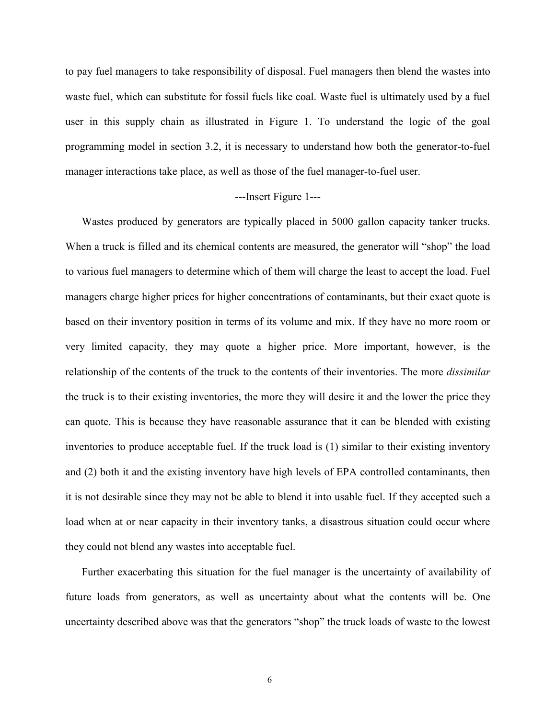to pay fuel managers to take responsibility of disposal. Fuel managers then blend the wastes into waste fuel, which can substitute for fossil fuels like coal. Waste fuel is ultimately used by a fuel user in this supply chain as illustrated in Figure 1. To understand the logic of the goal programming model in section 3.2, it is necessary to understand how both the generator-to-fuel manager interactions take place, as well as those of the fuel manager-to-fuel user.

# ---Insert Figure 1---

Wastes produced by generators are typically placed in 5000 gallon capacity tanker trucks. When a truck is filled and its chemical contents are measured, the generator will "shop" the load to various fuel managers to determine which of them will charge the least to accept the load. Fuel managers charge higher prices for higher concentrations of contaminants, but their exact quote is based on their inventory position in terms of its volume and mix. If they have no more room or very limited capacity, they may quote a higher price. More important, however, is the relationship of the contents of the truck to the contents of their inventories. The more *dissimilar* the truck is to their existing inventories, the more they will desire it and the lower the price they can quote. This is because they have reasonable assurance that it can be blended with existing inventories to produce acceptable fuel. If the truck load is (1) similar to their existing inventory and (2) both it and the existing inventory have high levels of EPA controlled contaminants, then it is not desirable since they may not be able to blend it into usable fuel. If they accepted such a load when at or near capacity in their inventory tanks, a disastrous situation could occur where they could not blend any wastes into acceptable fuel.

Further exacerbating this situation for the fuel manager is the uncertainty of availability of future loads from generators, as well as uncertainty about what the contents will be. One uncertainty described above was that the generators "shop" the truck loads of waste to the lowest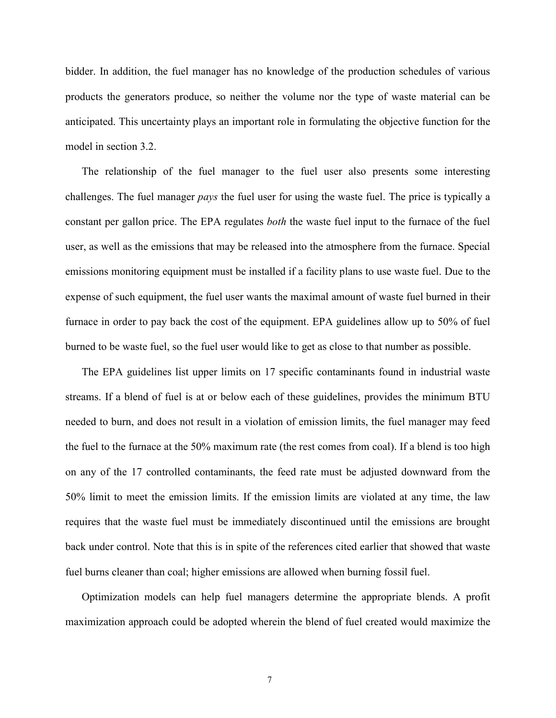bidder. In addition, the fuel manager has no knowledge of the production schedules of various products the generators produce, so neither the volume nor the type of waste material can be anticipated. This uncertainty plays an important role in formulating the objective function for the model in section 3.2.

The relationship of the fuel manager to the fuel user also presents some interesting challenges. The fuel manager *pays* the fuel user for using the waste fuel. The price is typically a constant per gallon price. The EPA regulates *both* the waste fuel input to the furnace of the fuel user, as well as the emissions that may be released into the atmosphere from the furnace. Special emissions monitoring equipment must be installed if a facility plans to use waste fuel. Due to the expense of such equipment, the fuel user wants the maximal amount of waste fuel burned in their furnace in order to pay back the cost of the equipment. EPA guidelines allow up to 50% of fuel burned to be waste fuel, so the fuel user would like to get as close to that number as possible.

The EPA guidelines list upper limits on 17 specific contaminants found in industrial waste streams. If a blend of fuel is at or below each of these guidelines, provides the minimum BTU needed to burn, and does not result in a violation of emission limits, the fuel manager may feed the fuel to the furnace at the 50% maximum rate (the rest comes from coal). If a blend is too high on any of the 17 controlled contaminants, the feed rate must be adjusted downward from the 50% limit to meet the emission limits. If the emission limits are violated at any time, the law requires that the waste fuel must be immediately discontinued until the emissions are brought back under control. Note that this is in spite of the references cited earlier that showed that waste fuel burns cleaner than coal; higher emissions are allowed when burning fossil fuel.

Optimization models can help fuel managers determine the appropriate blends. A profit maximization approach could be adopted wherein the blend of fuel created would maximize the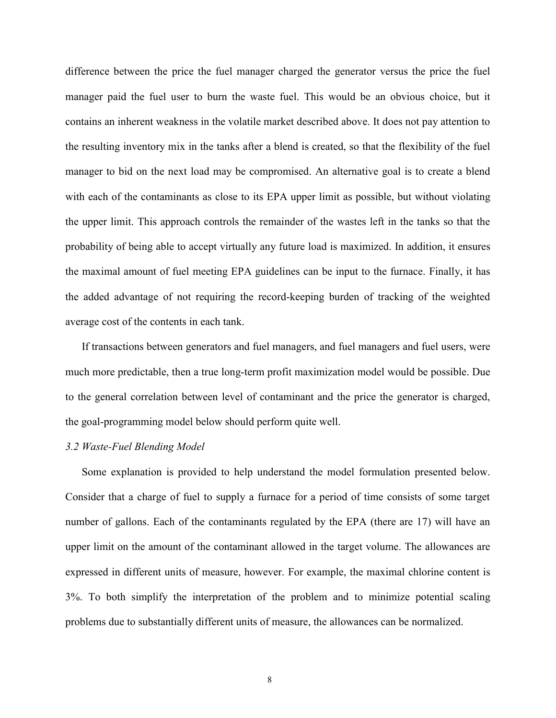difference between the price the fuel manager charged the generator versus the price the fuel manager paid the fuel user to burn the waste fuel. This would be an obvious choice, but it contains an inherent weakness in the volatile market described above. It does not pay attention to the resulting inventory mix in the tanks after a blend is created, so that the flexibility of the fuel manager to bid on the next load may be compromised. An alternative goal is to create a blend with each of the contaminants as close to its EPA upper limit as possible, but without violating the upper limit. This approach controls the remainder of the wastes left in the tanks so that the probability of being able to accept virtually any future load is maximized. In addition, it ensures the maximal amount of fuel meeting EPA guidelines can be input to the furnace. Finally, it has the added advantage of not requiring the record-keeping burden of tracking of the weighted average cost of the contents in each tank.

If transactions between generators and fuel managers, and fuel managers and fuel users, were much more predictable, then a true long-term profit maximization model would be possible. Due to the general correlation between level of contaminant and the price the generator is charged, the goal-programming model below should perform quite well.

## *3.2 Waste-Fuel Blending Model*

Some explanation is provided to help understand the model formulation presented below. Consider that a charge of fuel to supply a furnace for a period of time consists of some target number of gallons. Each of the contaminants regulated by the EPA (there are 17) will have an upper limit on the amount of the contaminant allowed in the target volume. The allowances are expressed in different units of measure, however. For example, the maximal chlorine content is 3%. To both simplify the interpretation of the problem and to minimize potential scaling problems due to substantially different units of measure, the allowances can be normalized.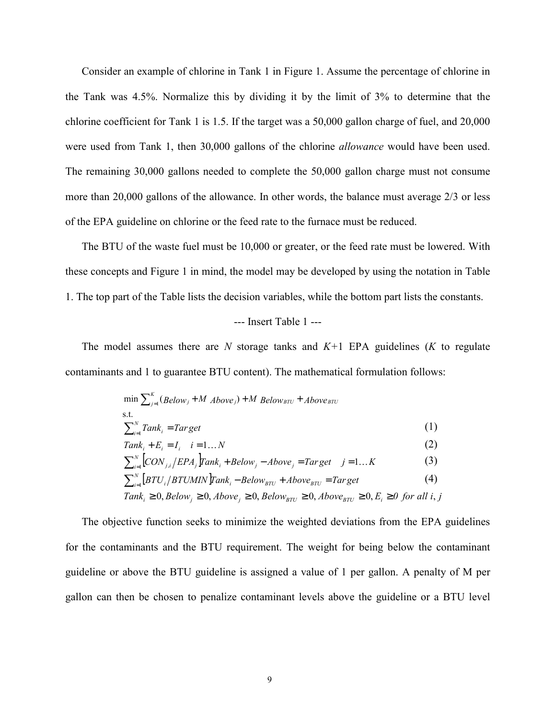Consider an example of chlorine in Tank 1 in Figure 1. Assume the percentage of chlorine in the Tank was 4.5%. Normalize this by dividing it by the limit of 3% to determine that the chlorine coefficient for Tank 1 is 1.5. If the target was a 50,000 gallon charge of fuel, and 20,000 were used from Tank 1, then 30,000 gallons of the chlorine *allowance* would have been used. The remaining 30,000 gallons needed to complete the 50,000 gallon charge must not consume more than 20,000 gallons of the allowance. In other words, the balance must average 2/3 or less of the EPA guideline on chlorine or the feed rate to the furnace must be reduced.

The BTU of the waste fuel must be 10,000 or greater, or the feed rate must be lowered. With these concepts and Figure 1 in mind, the model may be developed by using the notation in Table 1. The top part of the Table lists the decision variables, while the bottom part lists the constants.

# --- Insert Table 1 ---

The model assumes there are *N* storage tanks and *K+*1 EPA guidelines (*K* to regulate contaminants and 1 to guarantee BTU content). The mathematical formulation follows:

$$
\min \sum_{j=1}^{K} (Below_j + M \text{ Above}_j) + M \text{ Below}_{BTU} + Above_{BTU}
$$
\n
$$
\text{s.t.}
$$
\n
$$
\sum_{i=1}^{N} Tank_i = Target \qquad (1)
$$
\n
$$
Tank_i + E_i = I_i \quad i = 1...N
$$
\n
$$
\sum_{i=1}^{N} [CON_{j,i} / EPA_j] Tank_i + Below_j - Above_j = Target \quad j = 1...K \qquad (3)
$$
\n
$$
\sum_{i=1}^{N} [BTU_i / BTUMIN] Tank_i - Below_{BTU} + Above_{BTU} = Target \qquad (4)
$$
\n
$$
Tank_i \ge 0, Below_j \ge 0, Above_j \ge 0, Below_{BTU} \ge 0, Above_{BTU} \ge 0, E_i \ge 0 \text{ for all } i, j
$$

The objective function seeks to minimize the weighted deviations from the EPA guidelines for the contaminants and the BTU requirement. The weight for being below the contaminant guideline or above the BTU guideline is assigned a value of 1 per gallon. A penalty of M per gallon can then be chosen to penalize contaminant levels above the guideline or a BTU level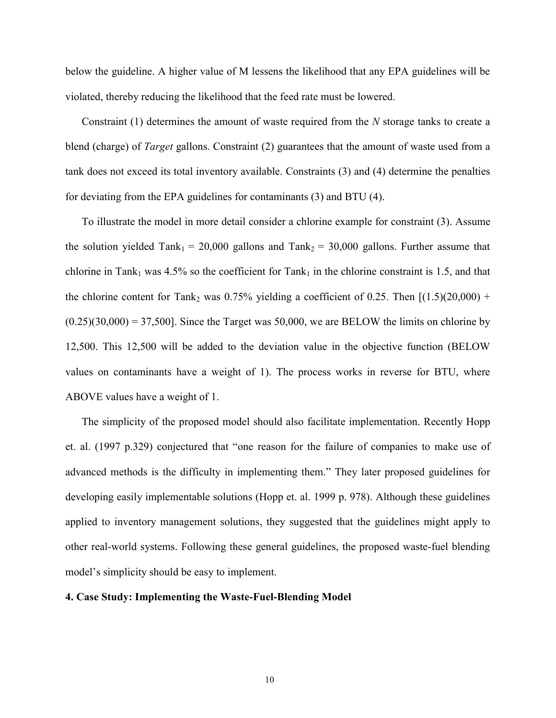below the guideline. A higher value of M lessens the likelihood that any EPA guidelines will be violated, thereby reducing the likelihood that the feed rate must be lowered.

Constraint (1) determines the amount of waste required from the *N* storage tanks to create a blend (charge) of *Target* gallons. Constraint (2) guarantees that the amount of waste used from a tank does not exceed its total inventory available. Constraints (3) and (4) determine the penalties for deviating from the EPA guidelines for contaminants (3) and BTU (4).

To illustrate the model in more detail consider a chlorine example for constraint (3). Assume the solution yielded Tank<sub>1</sub> = 20,000 gallons and Tank<sub>2</sub> = 30,000 gallons. Further assume that chlorine in Tank<sub>1</sub> was 4.5% so the coefficient for Tank<sub>1</sub> in the chlorine constraint is 1.5, and that the chlorine content for Tank<sub>2</sub> was  $0.75\%$  yielding a coefficient of 0.25. Then  $[(1.5)(20,000) +$  $(0.25)(30,000) = 37,500$ . Since the Target was 50,000, we are BELOW the limits on chlorine by 12,500. This 12,500 will be added to the deviation value in the objective function (BELOW values on contaminants have a weight of 1). The process works in reverse for BTU, where ABOVE values have a weight of 1.

The simplicity of the proposed model should also facilitate implementation. Recently Hopp et. al. (1997 p.329) conjectured that "one reason for the failure of companies to make use of advanced methods is the difficulty in implementing them." They later proposed guidelines for developing easily implementable solutions (Hopp et. al. 1999 p. 978). Although these guidelines applied to inventory management solutions, they suggested that the guidelines might apply to other real-world systems. Following these general guidelines, the proposed waste-fuel blending model's simplicity should be easy to implement.

#### **4. Case Study: Implementing the Waste-Fuel-Blending Model**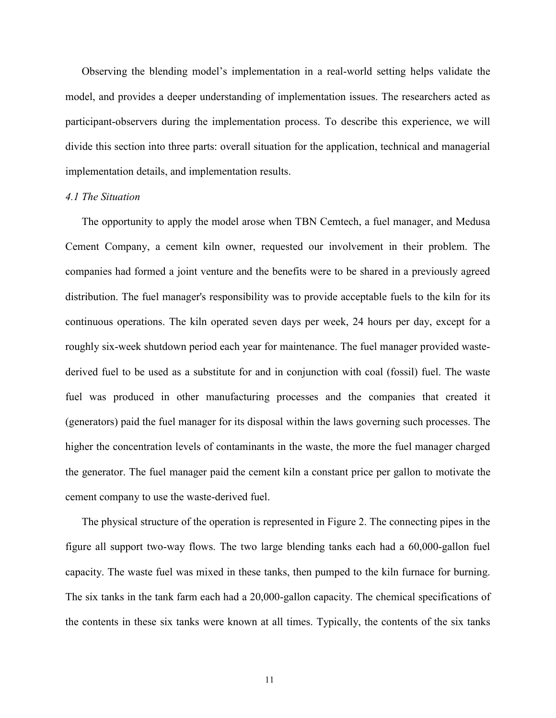Observing the blending model's implementation in a real-world setting helps validate the model, and provides a deeper understanding of implementation issues. The researchers acted as participant-observers during the implementation process. To describe this experience, we will divide this section into three parts: overall situation for the application, technical and managerial implementation details, and implementation results.

#### *4.1 The Situation*

The opportunity to apply the model arose when TBN Cemtech, a fuel manager, and Medusa Cement Company, a cement kiln owner, requested our involvement in their problem. The companies had formed a joint venture and the benefits were to be shared in a previously agreed distribution. The fuel manager's responsibility was to provide acceptable fuels to the kiln for its continuous operations. The kiln operated seven days per week, 24 hours per day, except for a roughly six-week shutdown period each year for maintenance. The fuel manager provided wastederived fuel to be used as a substitute for and in conjunction with coal (fossil) fuel. The waste fuel was produced in other manufacturing processes and the companies that created it (generators) paid the fuel manager for its disposal within the laws governing such processes. The higher the concentration levels of contaminants in the waste, the more the fuel manager charged the generator. The fuel manager paid the cement kiln a constant price per gallon to motivate the cement company to use the waste-derived fuel.

The physical structure of the operation is represented in Figure 2. The connecting pipes in the figure all support two-way flows. The two large blending tanks each had a 60,000-gallon fuel capacity. The waste fuel was mixed in these tanks, then pumped to the kiln furnace for burning. The six tanks in the tank farm each had a 20,000-gallon capacity. The chemical specifications of the contents in these six tanks were known at all times. Typically, the contents of the six tanks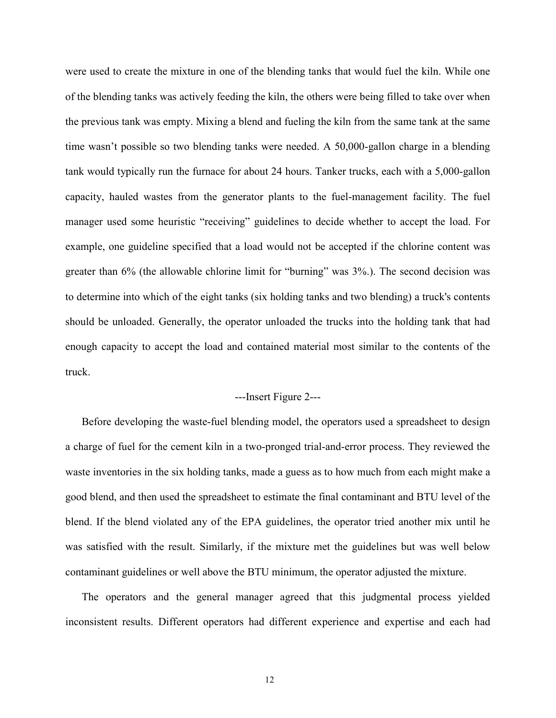were used to create the mixture in one of the blending tanks that would fuel the kiln. While one of the blending tanks was actively feeding the kiln, the others were being filled to take over when the previous tank was empty. Mixing a blend and fueling the kiln from the same tank at the same time wasn't possible so two blending tanks were needed. A 50,000-gallon charge in a blending tank would typically run the furnace for about 24 hours. Tanker trucks, each with a 5,000-gallon capacity, hauled wastes from the generator plants to the fuel-management facility. The fuel manager used some heuristic "receiving" guidelines to decide whether to accept the load. For example, one guideline specified that a load would not be accepted if the chlorine content was greater than 6% (the allowable chlorine limit for "burning" was 3%.). The second decision was to determine into which of the eight tanks (six holding tanks and two blending) a truck's contents should be unloaded. Generally, the operator unloaded the trucks into the holding tank that had enough capacity to accept the load and contained material most similar to the contents of the truck.

# ---Insert Figure 2---

Before developing the waste-fuel blending model, the operators used a spreadsheet to design a charge of fuel for the cement kiln in a two-pronged trial-and-error process. They reviewed the waste inventories in the six holding tanks, made a guess as to how much from each might make a good blend, and then used the spreadsheet to estimate the final contaminant and BTU level of the blend. If the blend violated any of the EPA guidelines, the operator tried another mix until he was satisfied with the result. Similarly, if the mixture met the guidelines but was well below contaminant guidelines or well above the BTU minimum, the operator adjusted the mixture.

The operators and the general manager agreed that this judgmental process yielded inconsistent results. Different operators had different experience and expertise and each had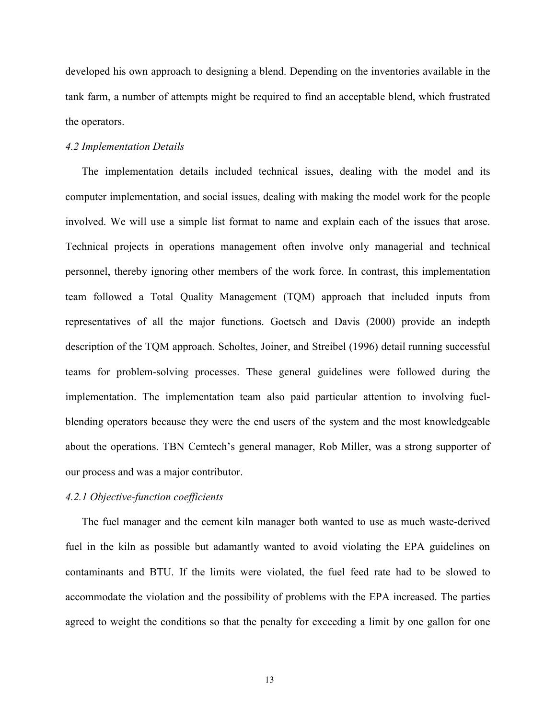developed his own approach to designing a blend. Depending on the inventories available in the tank farm, a number of attempts might be required to find an acceptable blend, which frustrated the operators.

# *4.2 Implementation Details*

The implementation details included technical issues, dealing with the model and its computer implementation, and social issues, dealing with making the model work for the people involved. We will use a simple list format to name and explain each of the issues that arose. Technical projects in operations management often involve only managerial and technical personnel, thereby ignoring other members of the work force. In contrast, this implementation team followed a Total Quality Management (TQM) approach that included inputs from representatives of all the major functions. Goetsch and Davis (2000) provide an indepth description of the TQM approach. Scholtes, Joiner, and Streibel (1996) detail running successful teams for problem-solving processes. These general guidelines were followed during the implementation. The implementation team also paid particular attention to involving fuelblending operators because they were the end users of the system and the most knowledgeable about the operations. TBN Cemtech's general manager, Rob Miller, was a strong supporter of our process and was a major contributor.

# *4.2.1 Objective-function coefficients*

The fuel manager and the cement kiln manager both wanted to use as much waste-derived fuel in the kiln as possible but adamantly wanted to avoid violating the EPA guidelines on contaminants and BTU. If the limits were violated, the fuel feed rate had to be slowed to accommodate the violation and the possibility of problems with the EPA increased. The parties agreed to weight the conditions so that the penalty for exceeding a limit by one gallon for one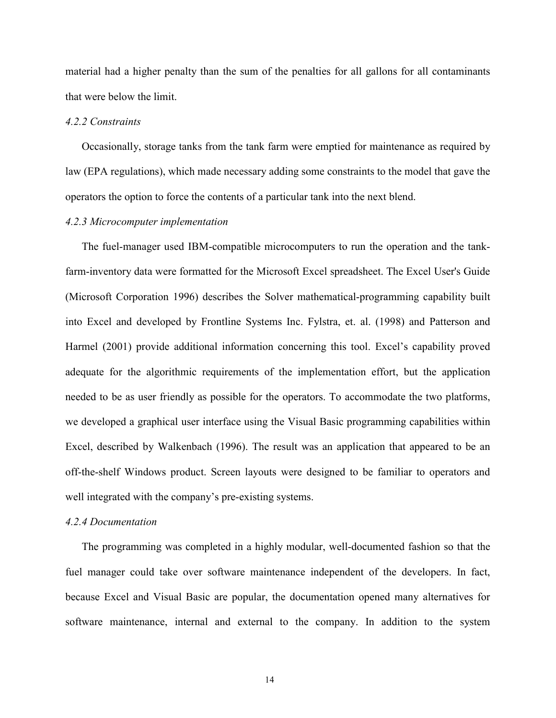material had a higher penalty than the sum of the penalties for all gallons for all contaminants that were below the limit.

# *4.2.2 Constraints*

Occasionally, storage tanks from the tank farm were emptied for maintenance as required by law (EPA regulations), which made necessary adding some constraints to the model that gave the operators the option to force the contents of a particular tank into the next blend.

# *4.2.3 Microcomputer implementation*

The fuel-manager used IBM-compatible microcomputers to run the operation and the tankfarm-inventory data were formatted for the Microsoft Excel spreadsheet. The Excel User's Guide (Microsoft Corporation 1996) describes the Solver mathematical-programming capability built into Excel and developed by Frontline Systems Inc. Fylstra, et. al. (1998) and Patterson and Harmel (2001) provide additional information concerning this tool. Excel's capability proved adequate for the algorithmic requirements of the implementation effort, but the application needed to be as user friendly as possible for the operators. To accommodate the two platforms, we developed a graphical user interface using the Visual Basic programming capabilities within Excel, described by Walkenbach (1996). The result was an application that appeared to be an off-the-shelf Windows product. Screen layouts were designed to be familiar to operators and well integrated with the company's pre-existing systems.

#### *4.2.4 Documentation*

The programming was completed in a highly modular, well-documented fashion so that the fuel manager could take over software maintenance independent of the developers. In fact, because Excel and Visual Basic are popular, the documentation opened many alternatives for software maintenance, internal and external to the company. In addition to the system

14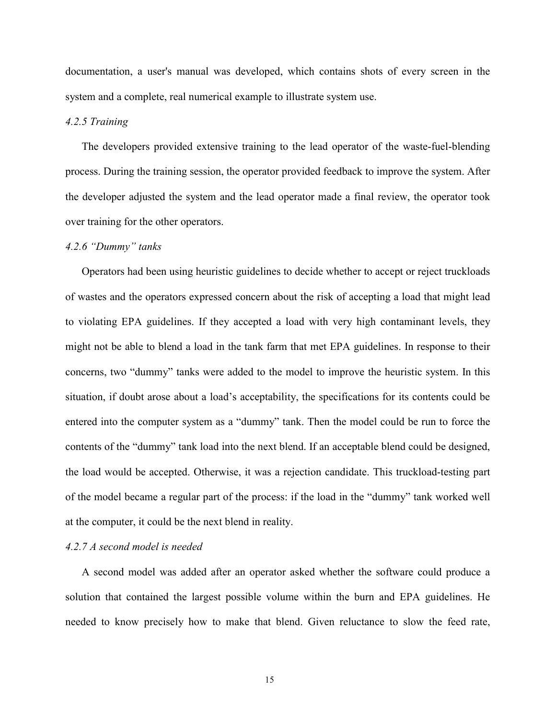documentation, a user's manual was developed, which contains shots of every screen in the system and a complete, real numerical example to illustrate system use.

# *4.2.5 Training*

The developers provided extensive training to the lead operator of the waste-fuel-blending process. During the training session, the operator provided feedback to improve the system. After the developer adjusted the system and the lead operator made a final review, the operator took over training for the other operators.

#### *4.2.6 ìDummyî tanks*

Operators had been using heuristic guidelines to decide whether to accept or reject truckloads of wastes and the operators expressed concern about the risk of accepting a load that might lead to violating EPA guidelines. If they accepted a load with very high contaminant levels, they might not be able to blend a load in the tank farm that met EPA guidelines. In response to their concerns, two "dummy" tanks were added to the model to improve the heuristic system. In this situation, if doubt arose about a load's acceptability, the specifications for its contents could be entered into the computer system as a "dummy" tank. Then the model could be run to force the contents of the "dummy" tank load into the next blend. If an acceptable blend could be designed, the load would be accepted. Otherwise, it was a rejection candidate. This truckload-testing part of the model became a regular part of the process: if the load in the "dummy" tank worked well at the computer, it could be the next blend in reality.

## *4.2.7 A second model is needed*

A second model was added after an operator asked whether the software could produce a solution that contained the largest possible volume within the burn and EPA guidelines. He needed to know precisely how to make that blend. Given reluctance to slow the feed rate,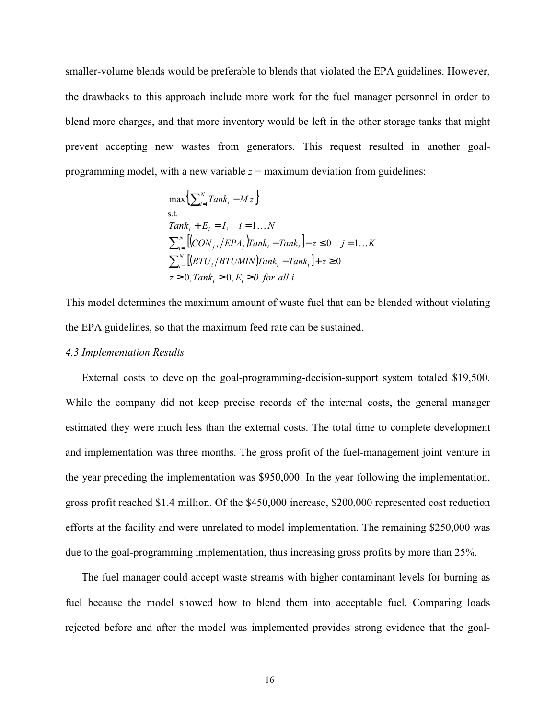smaller-volume blends would be preferable to blends that violated the EPA guidelines. However, the drawbacks to this approach include more work for the fuel manager personnel in order to blend more charges, and that more inventory would be left in the other storage tanks that might prevent accepting new wastes from generators. This request resulted in another goalprogramming model, with a new variable  $z =$  maximum deviation from guidelines:

$$
\max\left\{\sum_{i=1}^{N} Tank_i - Mz\right\}
$$
\ns.t.  
\n $Tank_i + E_i = I_i$   $i = 1...N$   
\n
$$
\sum_{i=1}^{N} [(CON_{j,i}/EPA_j) Tank_i - Tank_i] - z \le 0 \quad j = 1...K
$$
\n
$$
\sum_{i=1}^{N} [(BTU_i/BTUMIN) Tank_i - Tank_i] + z \ge 0
$$
\n
$$
z \ge 0, Tank_i \ge 0, E_i \ge 0 \text{ for all } i
$$

This model determines the maximum amount of waste fuel that can be blended without violating the EPA guidelines, so that the maximum feed rate can be sustained.

#### *4.3 Implementation Results*

External costs to develop the goal-programming-decision-support system totaled \$19,500. While the company did not keep precise records of the internal costs, the general manager estimated they were much less than the external costs. The total time to complete development and implementation was three months. The gross profit of the fuel-management joint venture in the year preceding the implementation was \$950,000. In the year following the implementation, gross profit reached \$1.4 million. Of the \$450,000 increase, \$200,000 represented cost reduction efforts at the facility and were unrelated to model implementation. The remaining \$250,000 was due to the goal-programming implementation, thus increasing gross profits by more than 25%.

The fuel manager could accept waste streams with higher contaminant levels for burning as fuel because the model showed how to blend them into acceptable fuel. Comparing loads rejected before and after the model was implemented provides strong evidence that the goal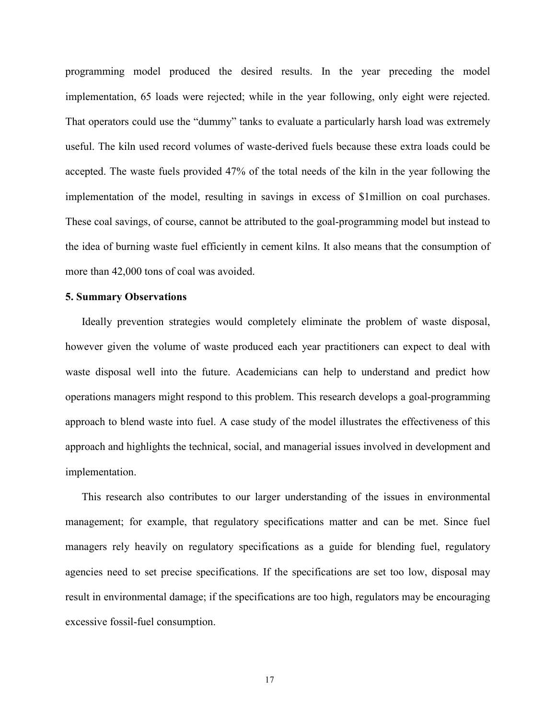programming model produced the desired results. In the year preceding the model implementation, 65 loads were rejected; while in the year following, only eight were rejected. That operators could use the "dummy" tanks to evaluate a particularly harsh load was extremely useful. The kiln used record volumes of waste-derived fuels because these extra loads could be accepted. The waste fuels provided 47% of the total needs of the kiln in the year following the implementation of the model, resulting in savings in excess of \$1million on coal purchases. These coal savings, of course, cannot be attributed to the goal-programming model but instead to the idea of burning waste fuel efficiently in cement kilns. It also means that the consumption of more than 42,000 tons of coal was avoided.

# **5. Summary Observations**

Ideally prevention strategies would completely eliminate the problem of waste disposal, however given the volume of waste produced each year practitioners can expect to deal with waste disposal well into the future. Academicians can help to understand and predict how operations managers might respond to this problem. This research develops a goal-programming approach to blend waste into fuel. A case study of the model illustrates the effectiveness of this approach and highlights the technical, social, and managerial issues involved in development and implementation.

This research also contributes to our larger understanding of the issues in environmental management; for example, that regulatory specifications matter and can be met. Since fuel managers rely heavily on regulatory specifications as a guide for blending fuel, regulatory agencies need to set precise specifications. If the specifications are set too low, disposal may result in environmental damage; if the specifications are too high, regulators may be encouraging excessive fossil-fuel consumption.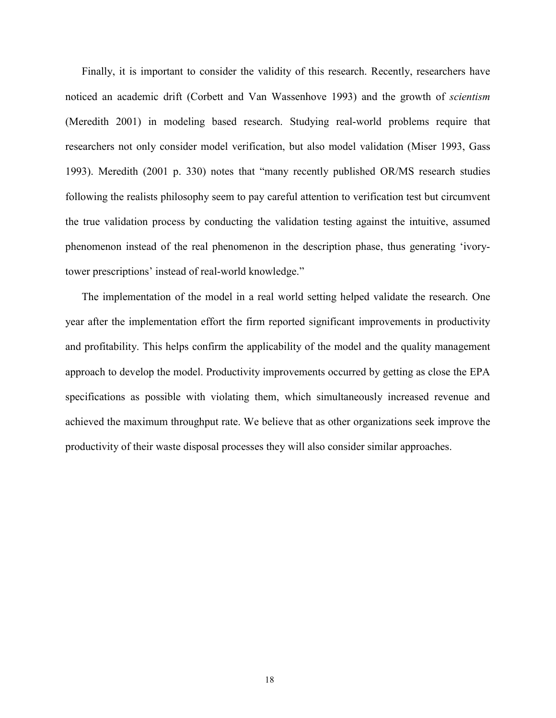Finally, it is important to consider the validity of this research. Recently, researchers have noticed an academic drift (Corbett and Van Wassenhove 1993) and the growth of *scientism* (Meredith 2001) in modeling based research. Studying real-world problems require that researchers not only consider model verification, but also model validation (Miser 1993, Gass 1993). Meredith (2001 p. 330) notes that "many recently published OR/MS research studies following the realists philosophy seem to pay careful attention to verification test but circumvent the true validation process by conducting the validation testing against the intuitive, assumed phenomenon instead of the real phenomenon in the description phase, thus generating ëivorytower prescriptions' instead of real-world knowledge."

The implementation of the model in a real world setting helped validate the research. One year after the implementation effort the firm reported significant improvements in productivity and profitability. This helps confirm the applicability of the model and the quality management approach to develop the model. Productivity improvements occurred by getting as close the EPA specifications as possible with violating them, which simultaneously increased revenue and achieved the maximum throughput rate. We believe that as other organizations seek improve the productivity of their waste disposal processes they will also consider similar approaches.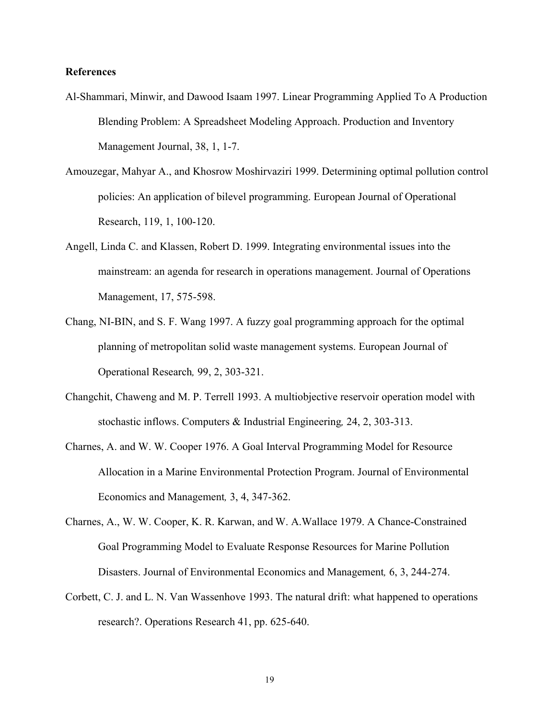# **References**

- Al-Shammari, Minwir, and Dawood Isaam 1997. Linear Programming Applied To A Production Blending Problem: A Spreadsheet Modeling Approach. Production and Inventory Management Journal, 38, 1, 1-7.
- Amouzegar, Mahyar A., and Khosrow Moshirvaziri 1999. Determining optimal pollution control policies: An application of bilevel programming. European Journal of Operational Research, 119, 1, 100-120.
- Angell, Linda C. and Klassen, Robert D. 1999. Integrating environmental issues into the mainstream: an agenda for research in operations management. Journal of Operations Management, 17, 575-598.
- Chang, NI-BIN, and S. F. Wang 1997. A fuzzy goal programming approach for the optimal planning of metropolitan solid waste management systems. European Journal of Operational Research*,* 99, 2, 303-321.
- Changchit, Chaweng and M. P. Terrell 1993. A multiobjective reservoir operation model with stochastic inflows. Computers & Industrial Engineering*,* 24, 2, 303-313.
- Charnes, A. and W. W. Cooper 1976. A Goal Interval Programming Model for Resource Allocation in a Marine Environmental Protection Program. Journal of Environmental Economics and Management*,* 3, 4, 347-362.
- Charnes, A., W. W. Cooper, K. R. Karwan, and W. A.Wallace 1979. A Chance-Constrained Goal Programming Model to Evaluate Response Resources for Marine Pollution Disasters. Journal of Environmental Economics and Management*,* 6, 3, 244-274.
- Corbett, C. J. and L. N. Van Wassenhove 1993. The natural drift: what happened to operations research?. Operations Research 41, pp. 625-640.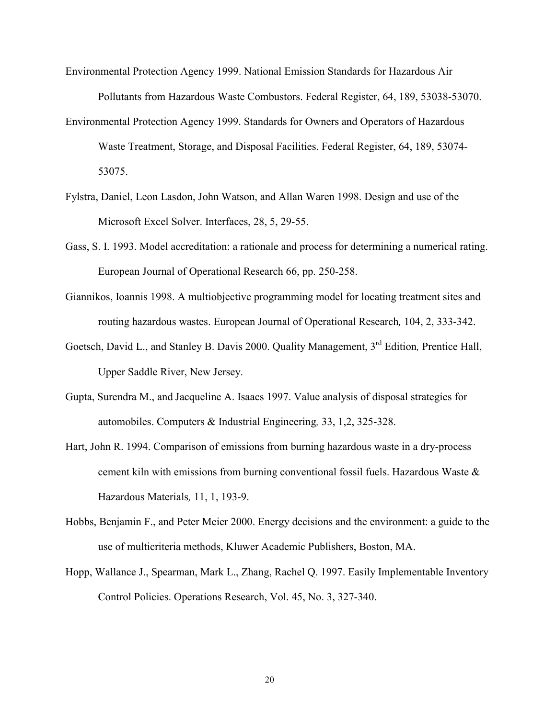- Environmental Protection Agency 1999. National Emission Standards for Hazardous Air Pollutants from Hazardous Waste Combustors. Federal Register, 64, 189, 53038-53070.
- Environmental Protection Agency 1999. Standards for Owners and Operators of Hazardous Waste Treatment, Storage, and Disposal Facilities. Federal Register, 64, 189, 53074- 53075.
- Fylstra, Daniel, Leon Lasdon, John Watson, and Allan Waren 1998. Design and use of the Microsoft Excel Solver. Interfaces, 28, 5, 29-55.
- Gass, S. I. 1993. Model accreditation: a rationale and process for determining a numerical rating. European Journal of Operational Research 66, pp. 250-258.
- Giannikos, Ioannis 1998. A multiobjective programming model for locating treatment sites and routing hazardous wastes. European Journal of Operational Research*,* 104, 2, 333-342.
- Goetsch, David L., and Stanley B. Davis 2000. Quality Management, 3rd Edition*,* Prentice Hall, Upper Saddle River, New Jersey.
- Gupta, Surendra M., and Jacqueline A. Isaacs 1997. Value analysis of disposal strategies for automobiles. Computers & Industrial Engineering*,* 33, 1,2, 325-328.
- Hart, John R. 1994. Comparison of emissions from burning hazardous waste in a dry-process cement kiln with emissions from burning conventional fossil fuels. Hazardous Waste & Hazardous Materials*,* 11, 1, 193-9.
- Hobbs, Benjamin F., and Peter Meier 2000. Energy decisions and the environment: a guide to the use of multicriteria methods, Kluwer Academic Publishers, Boston, MA.
- Hopp, Wallance J., Spearman, Mark L., Zhang, Rachel Q. 1997. Easily Implementable Inventory Control Policies. Operations Research, Vol. 45, No. 3, 327-340.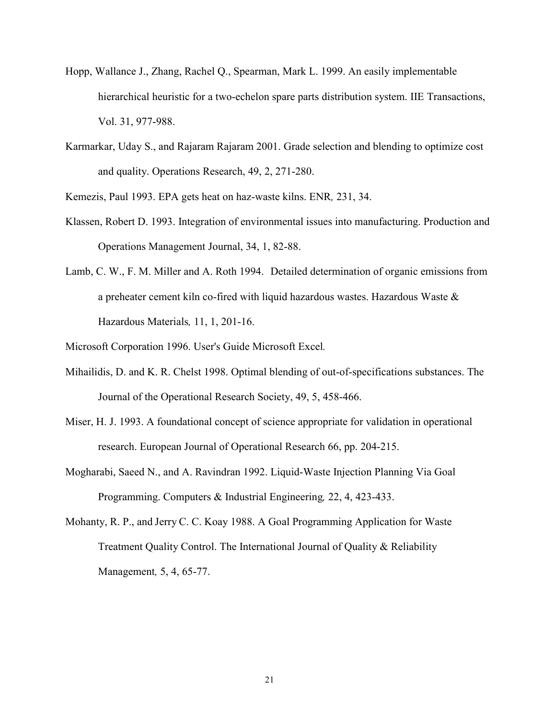- Hopp, Wallance J., Zhang, Rachel Q., Spearman, Mark L. 1999. An easily implementable hierarchical heuristic for a two-echelon spare parts distribution system. IIE Transactions, Vol. 31, 977-988.
- Karmarkar, Uday S., and Rajaram Rajaram 2001. Grade selection and blending to optimize cost and quality. Operations Research, 49, 2, 271-280.
- Kemezis, Paul 1993. EPA gets heat on haz-waste kilns. ENR*,* 231, 34.
- Klassen, Robert D. 1993. Integration of environmental issues into manufacturing. Production and Operations Management Journal, 34, 1, 82-88.
- Lamb, C. W., F. M. Miller and A. Roth 1994. Detailed determination of organic emissions from a preheater cement kiln co-fired with liquid hazardous wastes. Hazardous Waste & Hazardous Materials*,* 11, 1, 201-16.
- Microsoft Corporation 1996. User's Guide Microsoft Excel*.*
- Mihailidis, D. and K. R. Chelst 1998. Optimal blending of out-of-specifications substances. The Journal of the Operational Research Society, 49, 5, 458-466.
- Miser, H. J. 1993. A foundational concept of science appropriate for validation in operational research. European Journal of Operational Research 66, pp. 204-215.
- Mogharabi, Saeed N., and A. Ravindran 1992. Liquid-Waste Injection Planning Via Goal Programming. Computers & Industrial Engineering*,* 22, 4, 423-433.
- Mohanty, R. P., and Jerry C. C. Koay 1988. A Goal Programming Application for Waste Treatment Quality Control. The International Journal of Quality & Reliability Management*,* 5, 4, 65-77.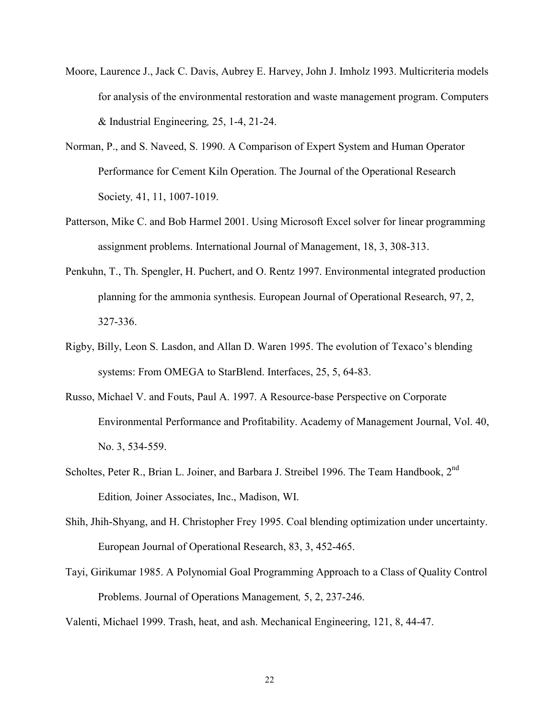- Moore, Laurence J., Jack C. Davis, Aubrey E. Harvey, John J. Imholz 1993. Multicriteria models for analysis of the environmental restoration and waste management program. Computers & Industrial Engineering*,* 25, 1-4, 21-24.
- Norman, P., and S. Naveed, S. 1990. A Comparison of Expert System and Human Operator Performance for Cement Kiln Operation. The Journal of the Operational Research Society*,* 41, 11, 1007-1019.
- Patterson, Mike C. and Bob Harmel 2001. Using Microsoft Excel solver for linear programming assignment problems. International Journal of Management, 18, 3, 308-313.
- Penkuhn, T., Th. Spengler, H. Puchert, and O. Rentz 1997. Environmental integrated production planning for the ammonia synthesis. European Journal of Operational Research, 97, 2, 327-336.
- Rigby, Billy, Leon S. Lasdon, and Allan D. Waren 1995. The evolution of Texaco's blending systems: From OMEGA to StarBlend. Interfaces, 25, 5, 64-83.
- Russo, Michael V. and Fouts, Paul A. 1997. A Resource-base Perspective on Corporate Environmental Performance and Profitability. Academy of Management Journal, Vol. 40, No. 3, 534-559.
- Scholtes, Peter R., Brian L. Joiner, and Barbara J. Streibel 1996. The Team Handbook, 2<sup>nd</sup> Edition*,* Joiner Associates, Inc., Madison, WI.
- Shih, Jhih-Shyang, and H. Christopher Frey 1995. Coal blending optimization under uncertainty. European Journal of Operational Research, 83, 3, 452-465.
- Tayi, Girikumar 1985. A Polynomial Goal Programming Approach to a Class of Quality Control Problems. Journal of Operations Management*,* 5, 2, 237-246.
- Valenti, Michael 1999. Trash, heat, and ash. Mechanical Engineering, 121, 8, 44-47.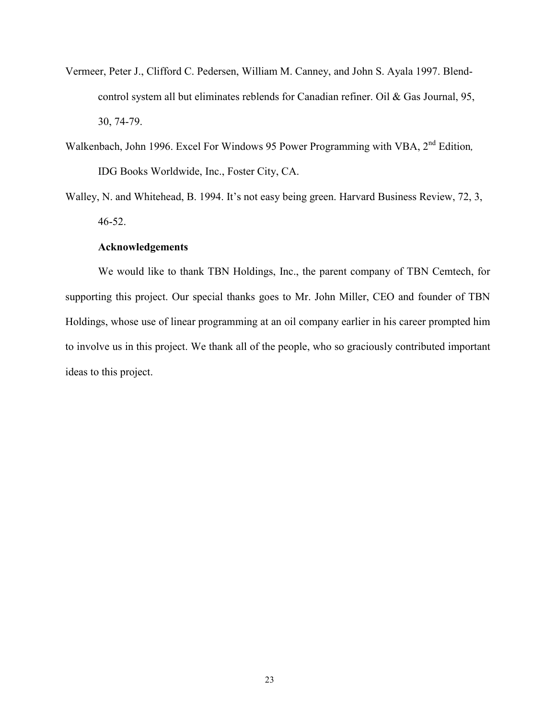- Vermeer, Peter J., Clifford C. Pedersen, William M. Canney, and John S. Ayala 1997. Blendcontrol system all but eliminates reblends for Canadian refiner. Oil & Gas Journal, 95, 30, 74-79.
- Walkenbach, John 1996. Excel For Windows 95 Power Programming with VBA, 2<sup>nd</sup> Edition, IDG Books Worldwide, Inc., Foster City, CA.
- Walley, N. and Whitehead, B. 1994. It's not easy being green. Harvard Business Review, 72, 3, 46-52.

# **Acknowledgements**

 We would like to thank TBN Holdings, Inc., the parent company of TBN Cemtech, for supporting this project. Our special thanks goes to Mr. John Miller, CEO and founder of TBN Holdings, whose use of linear programming at an oil company earlier in his career prompted him to involve us in this project. We thank all of the people, who so graciously contributed important ideas to this project.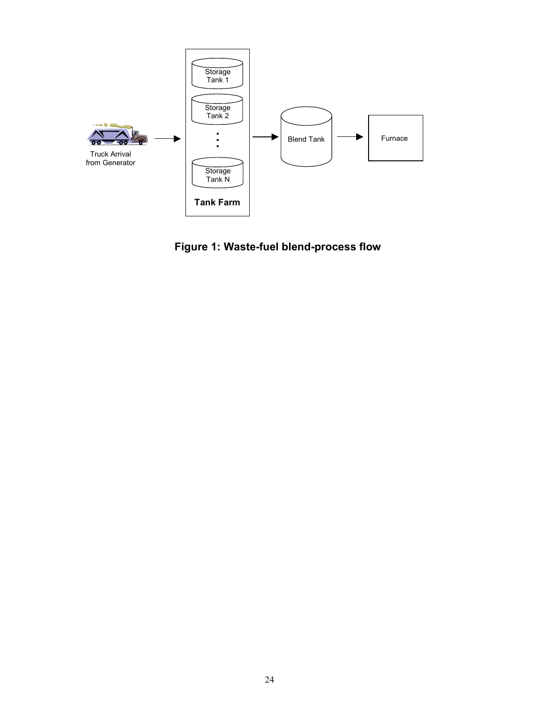

**Figure 1: Waste-fuel blend-process flow**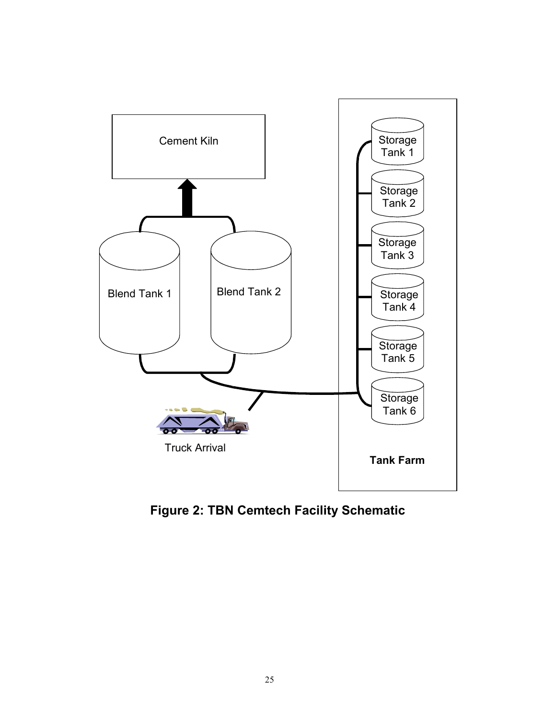

**Figure 2: TBN Cemtech Facility Schematic**